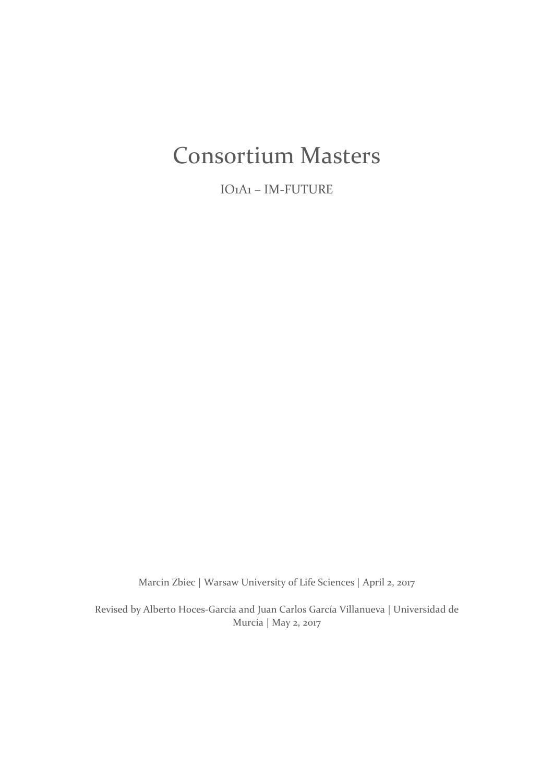# Consortium Masters

IO1A1 – IM-FUTURE

Marcin Zbiec | Warsaw University of Life Sciences | April 2, 2017

Revised by Alberto Hoces-García and Juan Carlos García Villanueva | Universidad de Murcia | May 2, 2017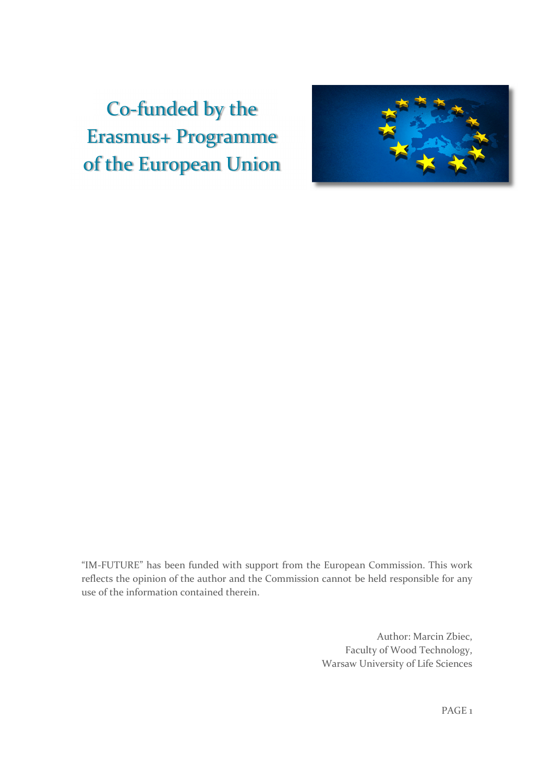# Co-funded by the Erasmus+ Programme of the European Union



"IM-FUTURE" has been funded with support from the European Commission. This work reflects the opinion of the author and the Commission cannot be held responsible for any use of the information contained therein.

> Author: Marcin Zbiec, Faculty of Wood Technology, Warsaw University of Life Sciences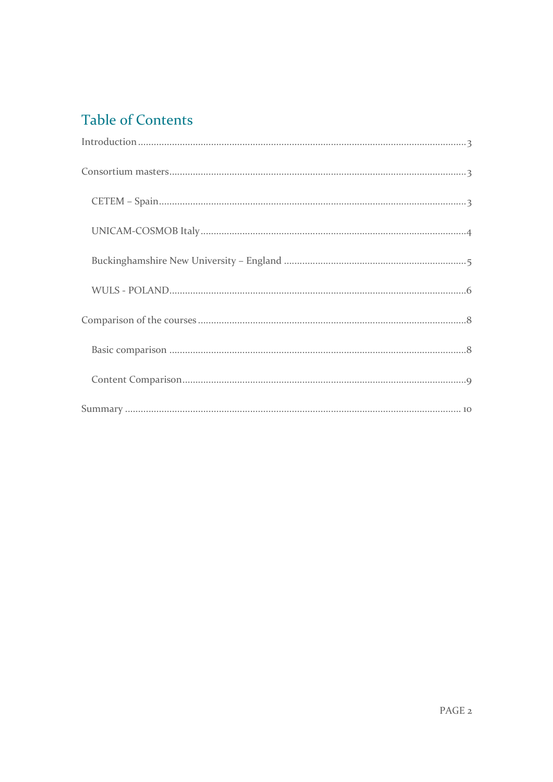# Table of Contents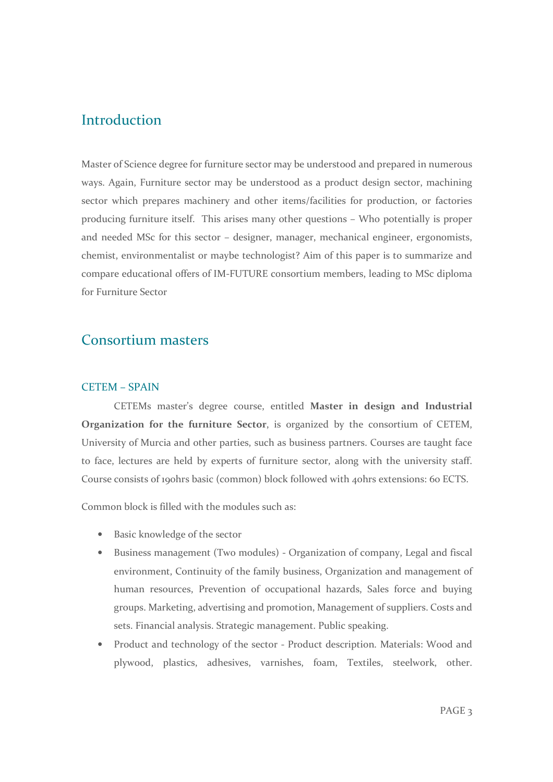## Introduction

Master of Science degree for furniture sector may be understood and prepared in numerous ways. Again, Furniture sector may be understood as a product design sector, machining sector which prepares machinery and other items/facilities for production, or factories producing furniture itself. This arises many other questions – Who potentially is proper and needed MSc for this sector – designer, manager, mechanical engineer, ergonomists, chemist, environmentalist or maybe technologist? Aim of this paper is to summarize and compare educational offers of IM-FUTURE consortium members, leading to MSc diploma for Furniture Sector

## Consortium masters

#### CETEM – SPAIN

CETEMs master's degree course, entitled Master in design and Industrial Organization for the furniture Sector, is organized by the consortium of CETEM, University of Murcia and other parties, such as business partners. Courses are taught face to face, lectures are held by experts of furniture sector, along with the university staff. Course consists of 190hrs basic (common) block followed with 40hrs extensions: 60 ECTS.

Common block is filled with the modules such as:

- Basic knowledge of the sector
- Business management (Two modules) Organization of company, Legal and fiscal environment, Continuity of the family business, Organization and management of human resources, Prevention of occupational hazards, Sales force and buying groups. Marketing, advertising and promotion, Management of suppliers. Costs and sets. Financial analysis. Strategic management. Public speaking.
- Product and technology of the sector Product description. Materials: Wood and plywood, plastics, adhesives, varnishes, foam, Textiles, steelwork, other.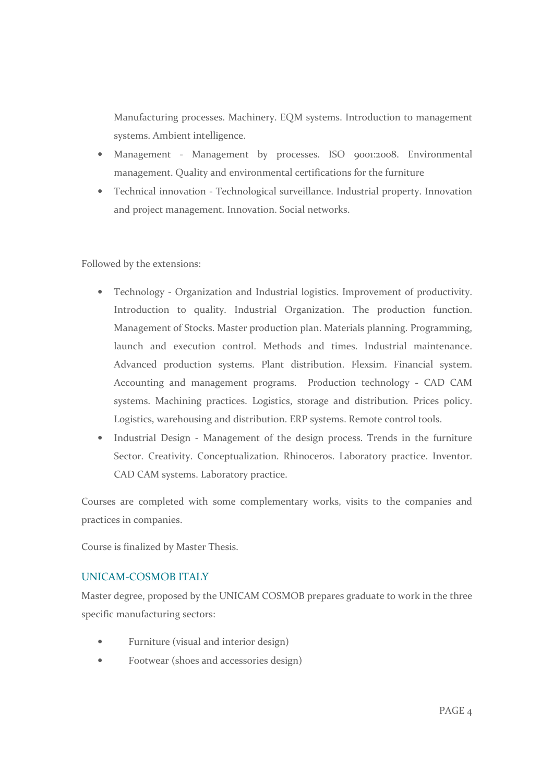Manufacturing processes. Machinery. EQM systems. Introduction to management systems. Ambient intelligence.

- Management Management by processes. ISO 9001:2008. Environmental management. Quality and environmental certifications for the furniture
- Technical innovation Technological surveillance. Industrial property. Innovation and project management. Innovation. Social networks.

Followed by the extensions:

- Technology Organization and Industrial logistics. Improvement of productivity. Introduction to quality. Industrial Organization. The production function. Management of Stocks. Master production plan. Materials planning. Programming, launch and execution control. Methods and times. Industrial maintenance. Advanced production systems. Plant distribution. Flexsim. Financial system. Accounting and management programs. Production technology - CAD CAM systems. Machining practices. Logistics, storage and distribution. Prices policy. Logistics, warehousing and distribution. ERP systems. Remote control tools.
- Industrial Design Management of the design process. Trends in the furniture Sector. Creativity. Conceptualization. Rhinoceros. Laboratory practice. Inventor. CAD CAM systems. Laboratory practice.

Courses are completed with some complementary works, visits to the companies and practices in companies.

Course is finalized by Master Thesis.

#### UNICAM-COSMOB ITALY

Master degree, proposed by the UNICAM COSMOB prepares graduate to work in the three specific manufacturing sectors:

- Furniture (visual and interior design)
- Footwear (shoes and accessories design)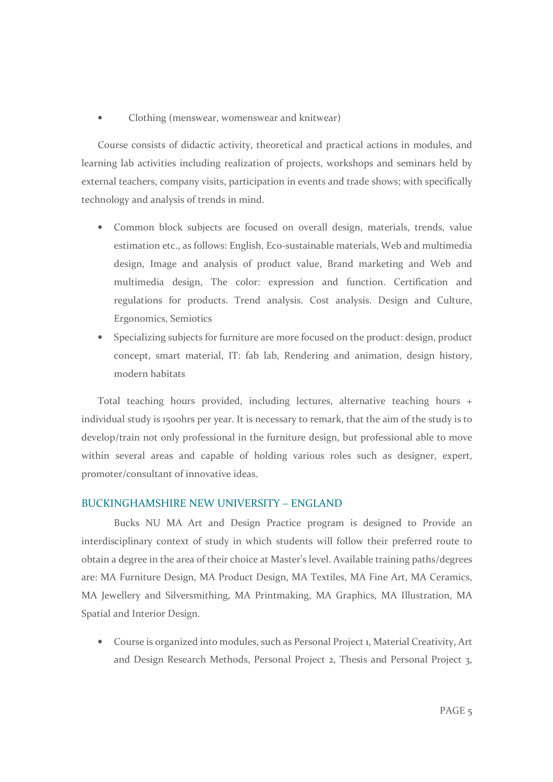• Clothing (menswear, womenswear and knitwear)

Course consists of didactic activity, theoretical and practical actions in modules, and learning lab activities including realization of projects, workshops and seminars held by external teachers, company visits, participation in events and trade shows; with specifically technology and analysis of trends in mind.

- Common block subjects are focused on overall design, materials, trends, value estimation etc., as follows: English, Eco-sustainable materials, Web and multimedia design, Image and analysis of product value, Brand marketing and Web and multimedia design, The color: expression and function. Certification and regulations for products. Trend analysis. Cost analysis. Design and Culture, Ergonomics, Semiotics
- Specializing subjects for furniture are more focused on the product: design, product concept, smart material, IT: fab lab, Rendering and animation, design history, modern habitats

Total teaching hours provided, including lectures, alternative teaching hours + individual study is 1500hrs per year. It is necessary to remark, that the aim of the study is to develop/train not only professional in the furniture design, but professional able to move within several areas and capable of holding various roles such as designer, expert, promoter/consultant of innovative ideas.

#### BUCKINGHAMSHIRE NEW UNIVERSITY – ENGLAND

Bucks NU MA Art and Design Practice program is designed to Provide an interdisciplinary context of study in which students will follow their preferred route to obtain a degree in the area of their choice at Master's level. Available training paths/degrees are: MA Furniture Design, MA Product Design, MA Textiles, MA Fine Art, MA Ceramics, MA Jewellery and Silversmithing, MA Printmaking, MA Graphics, MA Illustration, MA Spatial and Interior Design.

• Course is organized into modules, such as Personal Project 1, Material Creativity, Art and Design Research Methods, Personal Project 2, Thesis and Personal Project 3,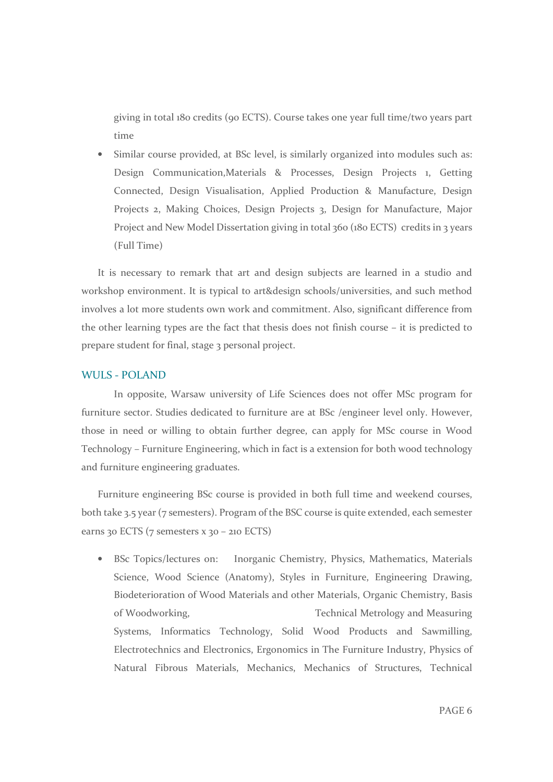giving in total 180 credits (90 ECTS). Course takes one year full time/two years part time

• Similar course provided, at BSc level, is similarly organized into modules such as: Design Communication,Materials & Processes, Design Projects 1, Getting Connected, Design Visualisation, Applied Production & Manufacture, Design Projects 2, Making Choices, Design Projects 3, Design for Manufacture, Major Project and New Model Dissertation giving in total 360 (180 ECTS) credits in 3 years (Full Time)

It is necessary to remark that art and design subjects are learned in a studio and workshop environment. It is typical to art&design schools/universities, and such method involves a lot more students own work and commitment. Also, significant difference from the other learning types are the fact that thesis does not finish course – it is predicted to prepare student for final, stage 3 personal project.

#### WULS - POLAND

In opposite, Warsaw university of Life Sciences does not offer MSc program for furniture sector. Studies dedicated to furniture are at BSc /engineer level only. However, those in need or willing to obtain further degree, can apply for MSc course in Wood Technology – Furniture Engineering, which in fact is a extension for both wood technology and furniture engineering graduates.

Furniture engineering BSc course is provided in both full time and weekend courses, both take 3.5 year (7 semesters). Program of the BSC course is quite extended, each semester earns 30 ECTS (7 semesters x 30 – 210 ECTS)

• BSc Topics/lectures on: Inorganic Chemistry, Physics, Mathematics, Materials Science, Wood Science (Anatomy), Styles in Furniture, Engineering Drawing, Biodeterioration of Wood Materials and other Materials, Organic Chemistry, Basis of Woodworking, Technical Metrology and Measuring Systems, Informatics Technology, Solid Wood Products and Sawmilling, Electrotechnics and Electronics, Ergonomics in The Furniture Industry, Physics of Natural Fibrous Materials, Mechanics, Mechanics of Structures, Technical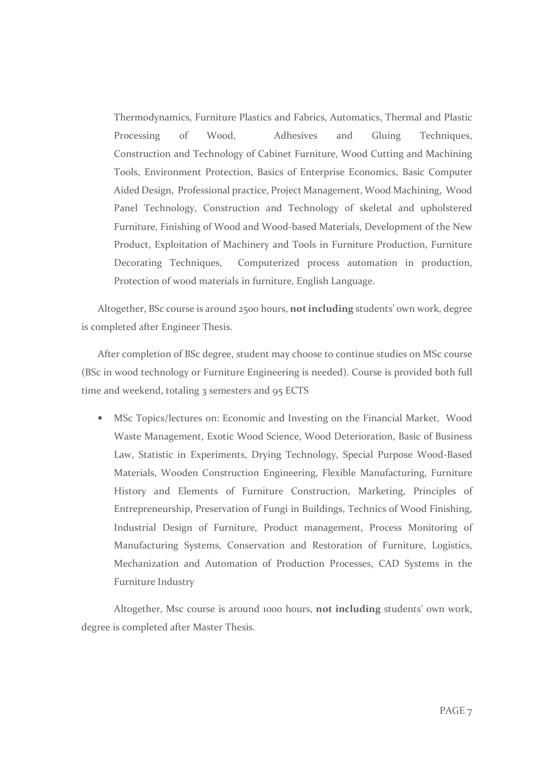Thermodynamics, Furniture Plastics and Fabrics, Automatics, Thermal and Plastic Processing of Wood, Adhesives and Gluing Techniques, Construction and Technology of Cabinet Furniture, Wood Cutting and Machining Tools, Environment Protection, Basics of Enterprise Economics, Basic Computer Aided Design, Professional practice, Project Management, Wood Machining, Wood Panel Technology, Construction and Technology of skeletal and upholstered Furniture, Finishing of Wood and Wood-based Materials, Development of the New Product, Exploitation of Machinery and Tools in Furniture Production, Furniture Decorating Techniques, Computerized process automation in production, Protection of wood materials in furniture, English Language.

Altogether, BSc course is around 2500 hours, not including students' own work, degree is completed after Engineer Thesis.

After completion of BSc degree, student may choose to continue studies on MSc course (BSc in wood technology or Furniture Engineering is needed). Course is provided both full time and weekend, totaling 3 semesters and 95 ECTS

• MSc Topics/lectures on: Economic and Investing on the Financial Market, Wood Waste Management, Exotic Wood Science, Wood Deterioration, Basic of Business Law, Statistic in Experiments, Drying Technology, Special Purpose Wood-Based Materials, Wooden Construction Engineering, Flexible Manufacturing, Furniture History and Elements of Furniture Construction, Marketing, Principles of Entrepreneurship, Preservation of Fungi in Buildings, Technics of Wood Finishing, Industrial Design of Furniture, Product management, Process Monitoring of Manufacturing Systems, Conservation and Restoration of Furniture, Logistics, Mechanization and Automation of Production Processes, CAD Systems in the Furniture Industry

Altogether, Msc course is around 1000 hours, not including students' own work, degree is completed after Master Thesis.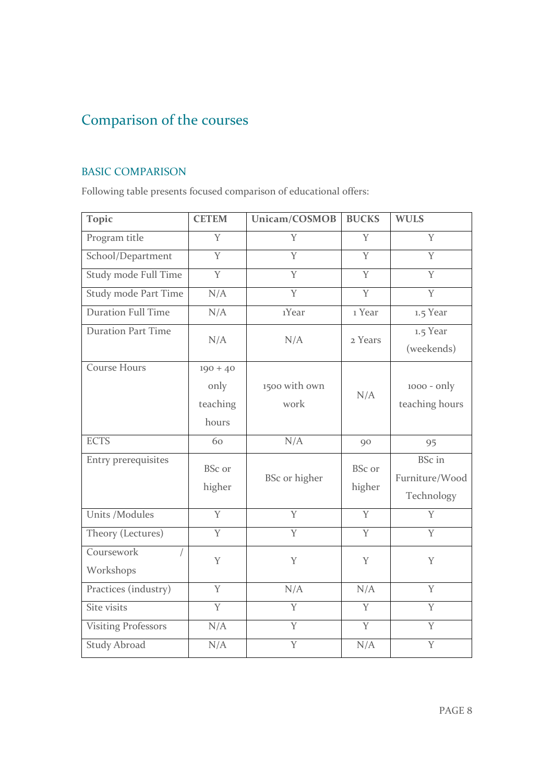# Comparison of the courses

### BASIC COMPARISON

Following table presents focused comparison of educational offers:

| <b>Topic</b>               | <b>CETEM</b>                            | Unicam/COSMOB         | <b>BUCKS</b>            | <b>WULS</b>                                   |
|----------------------------|-----------------------------------------|-----------------------|-------------------------|-----------------------------------------------|
| Program title              | Y                                       | Y                     | Y                       | Y                                             |
| School/Department          | Y                                       | $\overline{Y}$        | Y                       | Y                                             |
| Study mode Full Time       | $\overline{Y}$                          | $\overline{Y}$        | $\overline{Y}$          | $\overline{Y}$                                |
| Study mode Part Time       | N/A                                     | Y                     | Y                       | Y                                             |
| <b>Duration Full Time</b>  | N/A                                     | 1Year                 | 1 Year                  | 1.5 Year                                      |
| <b>Duration Part Time</b>  | N/A                                     | N/A                   | 2 Years                 | 1.5 Year<br>(weekends)                        |
| <b>Course Hours</b>        | $190 + 40$<br>only<br>teaching<br>hours | 1500 with own<br>work | N/A                     | $1000 - only$<br>teaching hours               |
| <b>ECTS</b>                | 60                                      | N/A                   | 90                      | 95                                            |
| Entry prerequisites        | <b>BSc</b> or<br>higher                 | BSc or higher         | <b>BSc</b> or<br>higher | <b>BSc</b> in<br>Furniture/Wood<br>Technology |
| <b>Units /Modules</b>      | $\overline{Y}$                          | $\overline{Y}$        | $\overline{Y}$          | $\overline{Y}$                                |
| Theory (Lectures)          | $\overline{Y}$                          | $\overline{Y}$        | $\overline{Y}$          | Y                                             |
| Coursework<br>Workshops    | Y                                       | Y                     | Y                       | Y                                             |
| Practices (industry)       | Y                                       | N/A                   | N/A                     | Y                                             |
| Site visits                | $\overline{Y}$                          | Y                     | Y                       | Y                                             |
| <b>Visiting Professors</b> | N/A                                     | Y                     | Y                       | Y                                             |
| <b>Study Abroad</b>        | N/A                                     | Y                     | N/A                     | Y                                             |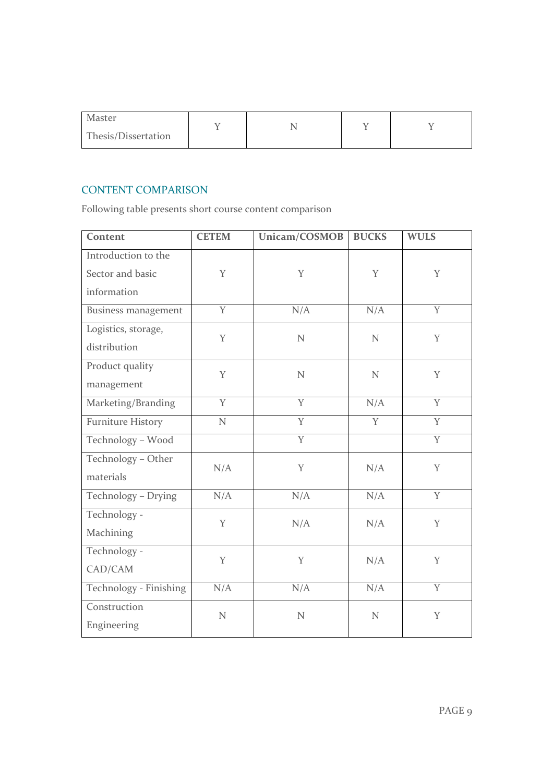| Master<br>Thesis/Dissertation |  |  |
|-------------------------------|--|--|
|                               |  |  |

### CONTENT COMPARISON

Following table presents short course content comparison

| Content                                                | <b>CETEM</b>   | Unicam/COSMOB  | <b>BUCKS</b>   | <b>WULS</b>    |
|--------------------------------------------------------|----------------|----------------|----------------|----------------|
| Introduction to the<br>Sector and basic<br>information | Y              | Y              | Y              | Y              |
| <b>Business management</b>                             | Y              | N/A            | N/A            | Y              |
| Logistics, storage,<br>distribution                    | Y              | $\mathbf N$    | $\overline{N}$ | Y              |
| Product quality<br>management                          | Y              | N              | N              | Y              |
| Marketing/Branding                                     | $\overline{Y}$ | $\overline{Y}$ | N/A            | $\overline{Y}$ |
| <b>Furniture History</b>                               | $\mathbf N$    | Y              | Y              | Y              |
| Technology - Wood                                      |                | Y              |                | Y              |
| Technology - Other<br>materials                        | N/A            | Y              | N/A            | Y              |
| Technology - Drying                                    | N/A            | N/A            | N/A            | $\overline{Y}$ |
| Technology -<br>Machining                              | Y              | N/A            | N/A            | Y              |
| Technology -<br>CAD/CAM                                | Y              | Y              | N/A            | Y              |
| Technology - Finishing                                 | N/A            | N/A            | N/A            | Y              |
| Construction<br>Engineering                            | N              | N              | N              | Y              |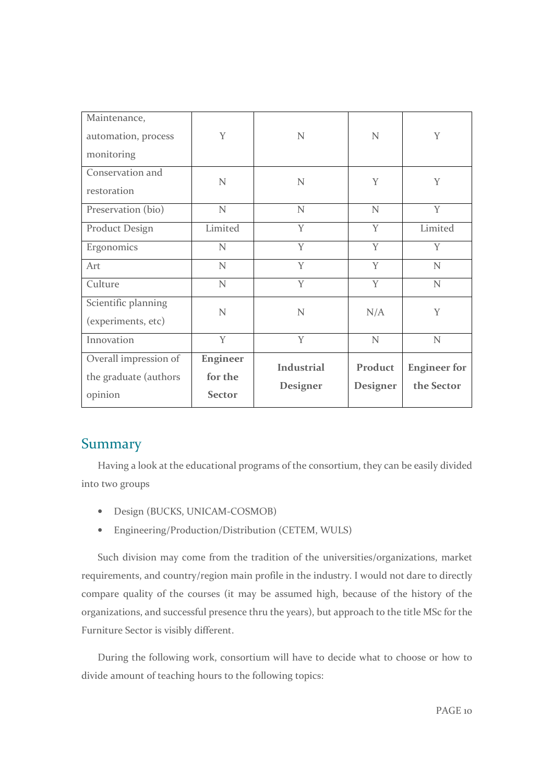| Maintenance,          |                 |                   |                 |                     |
|-----------------------|-----------------|-------------------|-----------------|---------------------|
| automation, process   | Y               | N                 | $\mathbf N$     | Y                   |
| monitoring            |                 |                   |                 |                     |
| Conservation and      | $\mathbf N$     | $\mathbf N$       | Y               | Y                   |
| restoration           |                 |                   |                 |                     |
| Preservation (bio)    | $\mathbf N$     | $\mathbf N$       | $\mathbf N$     | Y                   |
| <b>Product Design</b> | Limited         | Y                 | Y               | Limited             |
| Ergonomics            | $\mathbf N$     | Y                 | Y               | Y                   |
| Art                   | N               | Y                 | Y               | N                   |
| Culture               | $\mathbf N$     | Y                 | Y               | $\mathbf N$         |
| Scientific planning   | N               | N                 | N/A             | Y                   |
| (experiments, etc)    |                 |                   |                 |                     |
| Innovation            | Y               | Y                 | $\mathbf N$     | $\mathbf N$         |
| Overall impression of | <b>Engineer</b> | <b>Industrial</b> | Product         |                     |
| the graduate (authors | for the         |                   |                 | <b>Engineer</b> for |
| opinion               | <b>Sector</b>   | Designer          | <b>Designer</b> | the Sector          |

# Summary

Having a look at the educational programs of the consortium, they can be easily divided into two groups

- Design (BUCKS, UNICAM-COSMOB)
- Engineering/Production/Distribution (CETEM, WULS)

Such division may come from the tradition of the universities/organizations, market requirements, and country/region main profile in the industry. I would not dare to directly compare quality of the courses (it may be assumed high, because of the history of the organizations, and successful presence thru the years), but approach to the title MSc for the Furniture Sector is visibly different.

During the following work, consortium will have to decide what to choose or how to divide amount of teaching hours to the following topics: